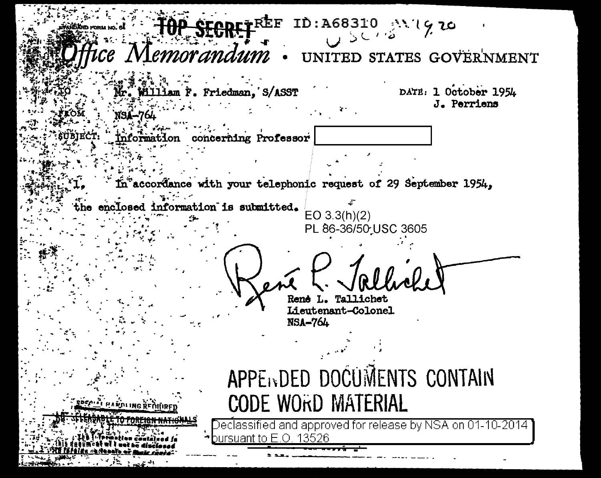FREE ID:A68310 AVI970 e Memorandum UNITED STATES GOVERNMENT DATE: 1 October 1954 F. Friedman. S/ASST  $1$ am J. Perriens concerning Professor  $inf$ ormat $\mathcal I$ on Taccordance with your telephonic request of 29 September 1954, enclosed information is submitted.  $EO 3.3(h)(2)$ PL 86-36/50 USC 3605 Tallichet Lieutenant-Colonel NSA-764 APPENDED DOCUMENTS CONTAIN **CODE WORD MATERIAL PARDING REMIRE** Declassified and approved for release by NSA on 01-10-2014 suant to E.O. 13526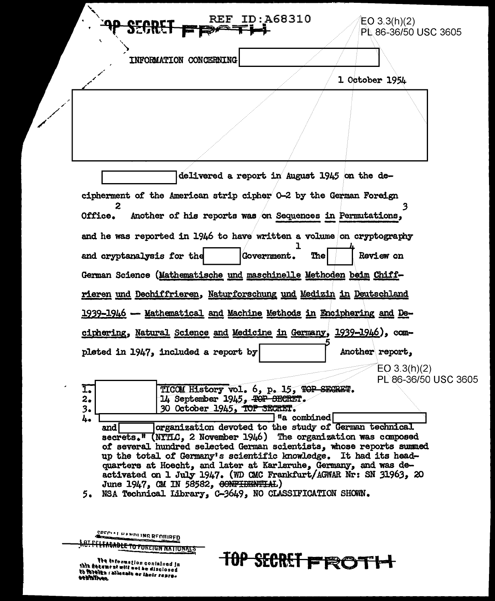| <b>SECRET</b>                                                                                                                                                                                                                                 | REF.                   | ID:A68310                                    |  | EO 3.3(h)(2)<br>PL 86-36/50 USC 3605 |  |
|-----------------------------------------------------------------------------------------------------------------------------------------------------------------------------------------------------------------------------------------------|------------------------|----------------------------------------------|--|--------------------------------------|--|
|                                                                                                                                                                                                                                               | INFORMATION CONCERNING |                                              |  | 1 October 1954                       |  |
|                                                                                                                                                                                                                                               |                        |                                              |  |                                      |  |
|                                                                                                                                                                                                                                               |                        |                                              |  |                                      |  |
|                                                                                                                                                                                                                                               |                        | delivered a report in August 1945 on the de- |  |                                      |  |
|                                                                                                                                                                                                                                               |                        |                                              |  |                                      |  |
| and cryptanalysis for the<br>German Science (Mathematische und maschinelle Methoden beim Chiff-<br>rieren und Dechiffrieren, Naturforschung und Medizin in Deutschland<br>1939-1946 - Mathematical and Machine Methods in Enciphering and De- |                        | Government.<br><b>The</b>                    |  | Review on                            |  |
| ciphering, Natural Science and Medicine in Germany, 1939-1946), com-                                                                                                                                                                          |                        |                                              |  |                                      |  |
| pleted in 1947, included a report by                                                                                                                                                                                                          |                        |                                              |  | Another report,<br>EO 3.3(h)(2)      |  |

June 1947, CM IN 58582, CONFIDENTIAL) 5. NSA Technical Library, C-3649, NO CLASSIFICATION SHOWN.

activated on 1 July 1947. (WD CMC Frankfurt/AGWAR Nr: SN 31963, 20

**TOP SECRET FROTH** 

SPECIAL HANDLING REQUIRED

**J.C. PELEACABLE TO FOREIGN NATIONALS** 

The information contained in<br>this decement will not be disclosed<br>to foreith rationals or their repro-<br>sepinitives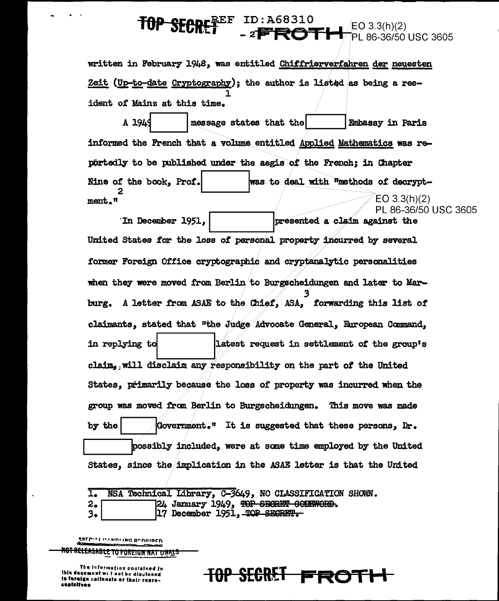## ID:A68310<br>- 2**FROTH** ∄EO 3.3(h)(2) PL 86-36/50 USC 3605

written in February 1948. was entitled Chiffrierverfahren der neuesten Zeit (Up-to-date Cryptography); the author is listed as being a resident of Mainz at this time.

A 1944 message states that the Embassy in Paris informed the French that a volume entitled Applied Mathematics was reportedly to be published under the aegis of the French: in Chapter Nine of the book. Prof. was to deal with "methods of decrypt- $EO 3.3(h)(2)$ ment."

PL 86-36/50 USC 3605 In December 1951. presented a claim against the United States for the loss of personal property incurred by several former Foreign Office cryptographic and cryptanalytic personalities when they were moved from Berlin to Burgscheidungen and later to Marburg. A letter from ASAE to the Chief, ASA, forwarding this list of claimants, stated that "the Judge Advocate General, European Command, in replying to latest request in settlement of the group's claim, will disclaim any responsibility on the part of the United States, primarily because the loss of property was incurred when the group was moved from Berlin to Burgscheidungen. This move was made by the Government." It is suggested that these persons, Dr. possibly included, were at some time employed by the United States, since the implication in the ASAE letter is that the United

 $I_{\bullet}$ NSA Technical Library, C-3649, NO CLASSIFICATION SHOWN.

24 January 1949, TOP SECRET CODEWORD. 2.

3. 17 December 1951, TOP SECRET.

SPECIAL UZNDITING REGUIRED

<del>NOT RELEASABLE TO FOREIGN NAT ONALS</del>

The information contained in this document will not be disclosed to foreign nationals or their represeatatives

<del>SECRET</del>